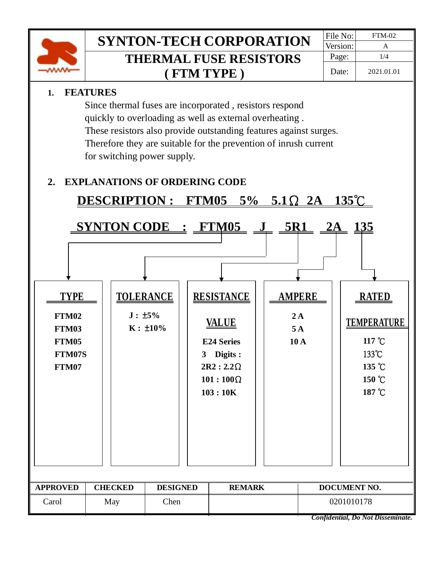

# **SYNTON-TECH CORPORATION** FILE NO: FTM-02 **THERMAL FUSE RESISTORS ( FTM TYPE )**

### **1. FEATURES**

 Since thermal fuses are incorporated , resistors respond quickly to overloading as well as external overheating . These resistors also provide outstanding features against surges. Therefore they are suitable for the prevention of inrush current for switching power supply.

# **2. EXPLANATIONS OF ORDERING CODE**

| $135^{\circ}$ C<br>DESCRIPTION: FTM05 5% 5.1 $\Omega$ 2A  |                |      |                                                   |  |                                                                                                                                                             |  |                                  |              |                                                                                     |  |  |
|-----------------------------------------------------------|----------------|------|---------------------------------------------------|--|-------------------------------------------------------------------------------------------------------------------------------------------------------------|--|----------------------------------|--------------|-------------------------------------------------------------------------------------|--|--|
| <b>TYPE</b><br>FTM02<br>FTM03<br>FTM05<br>FTM07S<br>FTM07 |                |      | <b>TOLERANCE</b><br>$J: \pm 5\%$<br>$K: \pm 10\%$ |  | $SYNTON CODE : FTM05 J_SRI_2A_135$<br><b>RESISTANCE</b><br><u>VALUE</u><br><b>E24 Series</b><br>3 Digits :<br>$2R2:2.2\Omega$<br>$101:100\Omega$<br>103:10K |  | <b>AMPERE</b><br>2A<br>5A<br>10A |              | <b>RATED</b><br><b>TEMPERATURE</b><br>117 °C<br>133°C<br>135 °C<br>150 °C<br>187 °C |  |  |
|                                                           |                |      |                                                   |  |                                                                                                                                                             |  |                                  |              |                                                                                     |  |  |
| <b>APPROVED</b>                                           | <b>CHECKED</b> |      | <b>DESIGNED</b>                                   |  | <b>REMARK</b>                                                                                                                                               |  |                                  | DOCUMENT NO. |                                                                                     |  |  |
| Carol<br>May                                              |                | Chen |                                                   |  |                                                                                                                                                             |  | 0201010178                       |              |                                                                                     |  |  |
|                                                           |                |      |                                                   |  |                                                                                                                                                             |  |                                  |              | Confidential, Do Not Disseminate.                                                   |  |  |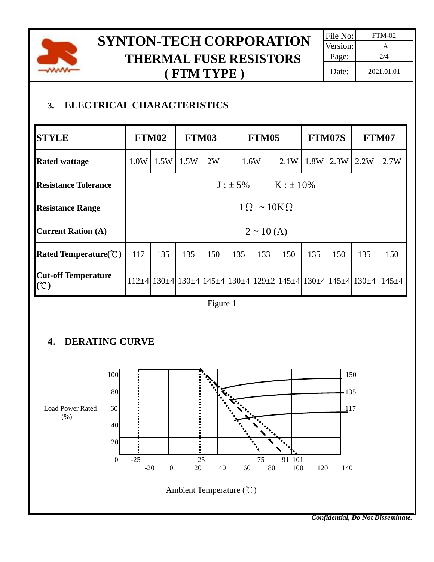

# **SYNTON-TECH CORPORATION** FILE No: FTM-02 **THERMAL FUSE RESISTORS ( FTM TYPE )**

# **3. ELECTRICAL CHARACTERISTICS**

| <b>STYLE</b>                              | FTM02                        |      | FTM03 |     | FTM05 |      |      | <b>FTM07S</b> |      | FTM07                                                                                                                          |             |
|-------------------------------------------|------------------------------|------|-------|-----|-------|------|------|---------------|------|--------------------------------------------------------------------------------------------------------------------------------|-------------|
| <b>Rated wattage</b>                      | 1.0W                         | 1.5W | 1.5W  | 2W  |       | 1.6W | 2.1W | 1.8W          | 2.3W | 2.2W                                                                                                                           | 2.7W        |
| <b>Resistance Tolerance</b>               | $J : \pm 5\%$ $K : \pm 10\%$ |      |       |     |       |      |      |               |      |                                                                                                                                |             |
| <b>Resistance Range</b>                   | $1 \Omega \sim 10 K \Omega$  |      |       |     |       |      |      |               |      |                                                                                                                                |             |
| <b>Current Ration (A)</b>                 | $2 \sim 10(A)$               |      |       |     |       |      |      |               |      |                                                                                                                                |             |
| Rated Temperature( ${}^{\circ}\text{C}$ ) | 117                          | 135  | 135   | 150 | 135   | 133  | 150  | 135           | 150  | 135                                                                                                                            | 150         |
| <b>Cut-off Temperature</b><br>(C)         |                              |      |       |     |       |      |      |               |      | $112\pm4$   130 $\pm4$   130 $\pm4$   145 $\pm4$   130 $\pm4$   129 $\pm2$   145 $\pm4$   130 $\pm4$   145 $\pm4$   130 $\pm4$ | $145 \pm 4$ |

Figure 1

# **4. DERATING CURVE**



*Confidential, Do Not Disseminate.*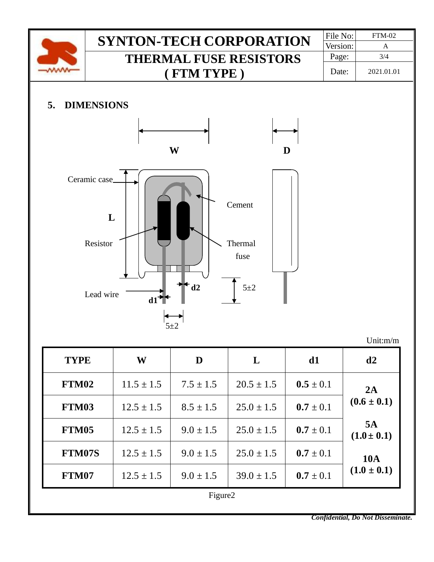

**FTM07** |  $12.5 \pm 1.5$  |  $9.0 \pm 1.5$  |  $39.0 \pm 1.5$  |  $0.7 \pm 0.1$ 

Figure2

*Confidential, Do Not Disseminate.*